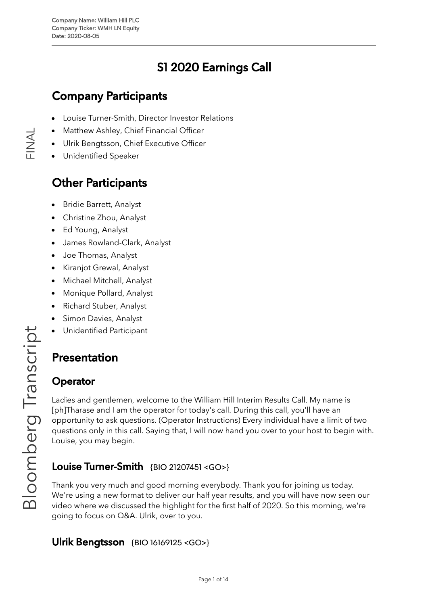# S1 2020 Earnings Call

# Company Participants

- Louise [Turner-Smith,](https://blinks.bloomberg.com/screens/BIO%2021207451) Director Investor Relations
- [Matthew](https://blinks.bloomberg.com/screens/BIO%2018911789) Ashley, Chief Financial Officer
- Ulrik [Bengtsson,](https://blinks.bloomberg.com/screens/BIO%2016169125) Chief Executive Officer
- Unidentified Speaker

# Other Participants

- Bridie [Barrett,](https://blinks.bloomberg.com/screens/BIO%2021024714) Analyst
- [Christine](https://blinks.bloomberg.com/screens/BIO%2019697356) Zhou, Analyst
- Ed [Young](https://blinks.bloomberg.com/screens/BIO%2019792496), Analyst
- James Rowland-Clark, Analyst
- Joe [Thomas,](https://blinks.bloomberg.com/screens/BIO%2016744156) Analyst  $\bullet$
- [Kiranjot](https://blinks.bloomberg.com/screens/BIO%2019179281) Grewal, Analyst
- Michael [Mitchell,](https://blinks.bloomberg.com/screens/BIO%2018976319) Analyst
- [Monique](https://blinks.bloomberg.com/screens/BIO%2018784505) Pollard, Analyst
- $\bullet$ [Richard](https://blinks.bloomberg.com/screens/BIO%2015216122) Stuber, Analyst
- Simon [Davies](https://blinks.bloomberg.com/screens/BIO%202558269), Analyst
- Unidentified Participant

# Presentation rip

### **Operator**

oE

 $\overline{\mathcal{O}}$  $\mathbb O$  $\overline{\phantom{0}}$  $\bigcirc$ 

 $\overline{\phantom{a}}$  $\sigma$  $\mathbf{\subseteq}$ ഗ  $\bigcup$ 

 $\overline{\phantom{a}}$ 

Ladies and gentlemen, welcome to the William Hill Interim Results Call. My name is [ph]Tharase and I am the operator for today's call. During this call, you'll have an opportunity to ask questions. (Operator Instructions) Every individual have a limit of two questions only in this call. Saying that, I will now hand you over to your host to begin with. Louise, you may begin.

# **Louise Turner-Smith**  $\{BIO\ 21207451 < GO> \}$  $\{BIO\ 21207451 < GO> \}$  $\{BIO\ 21207451 < GO> \}$

Thank you very much and good morning everybody. Thank you for joining us today. We're using a new format to deliver our half year results, and you will have now seen our video where we discussed the highlight for the first half of 2020. So this morning, we're going to focus on Q&A. Ulrik, over to you.  $\frac{\circ}{\text{D}}$ 

#### Ulrik Bengtsson {BIO [16169125](https://blinks.bloomberg.com/screens/BIO%2016169125) <GO>}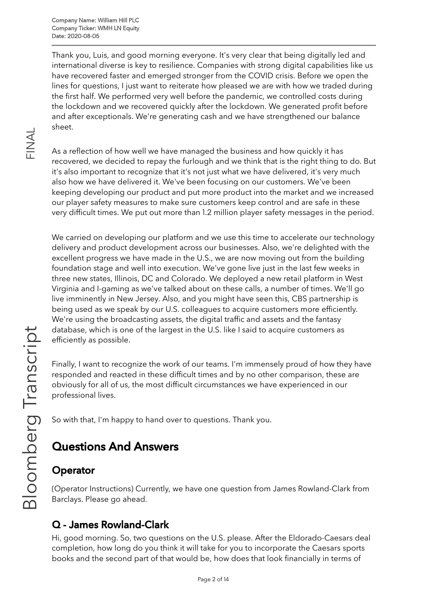Thank you, Luis, and good morning everyone. It's very clear that being digitally led and international diverse is key to resilience. Companies with strong digital capabilities like us have recovered faster and emerged stronger from the COVID crisis. Before we open the lines for questions, I just want to reiterate how pleased we are with how we traded during the first half. We performed very well before the pandemic, we controlled costs during the lockdown and we recovered quickly after the lockdown. We generated profit before and after exceptionals. We're generating cash and we have strengthened our balance sheet.

As a reflection of how well we have managed the business and how quickly it has recovered, we decided to repay the furlough and we think that is the right thing to do. But it's also important to recognize that it's not just what we have delivered, it's very much also how we have delivered it. We've been focusing on our customers. We've been keeping developing our product and put more product into the market and we increased our player safety measures to make sure customers keep control and are safe in these very difficult times. We put out more than 1.2 million player safety messages in the period.

We carried on developing our platform and we use this time to accelerate our technology delivery and product development across our businesses. Also, we're delighted with the excellent progress we have made in the U.S., we are now moving out from the building foundation stage and well into execution. We've gone live just in the last few weeks in three new states, Illinois, DC and Colorado. We deployed a new retail platform in West Virginia and I-gaming as we've talked about on these calls, a number of times. We'll go live imminently in New Jersey. Also, and you might have seen this, CBS partnership is being used as we speak by our U.S. colleagues to acquire customers more efficiently. We're using the broadcasting assets, the digital traffic and assets and the fantasy database, which is one of the largest in the U.S. like I said to acquire customers as efficiently as possible. rip

Finally, I want to recognize the work of our teams. I'm immensely proud of how they have responded and reacted in these difficult times and by no other comparison, these are obviously for all of us, the most difficult circumstances we have experienced in our professional lives.

So with that, I'm happy to hand over to questions. Thank you.

# Questions And Answers

# Operator

oE

 $\overline{\mathcal{O}}$  $\mathbb O$  $\overline{\phantom{0}}$  $\bigcirc$ 

 $\overline{\phantom{a}}$  $\sigma$  $\mathbf{\subseteq}$ ഗ  $\bigcup$ 

 $\overline{\phantom{a}}$ 

(Operator Instructions) Currently, we have one question from James Rowland-Clark from Barclays. Please go ahead.  $\frac{\circ}{\text{D}}$ 

# Q - James Rowland-Clark

Hi, good morning. So, two questions on the U.S. please. After the Eldorado-Caesars deal completion, how long do you think it will take for you to incorporate the Caesars sports books and the second part of that would be, how does that look financially in terms of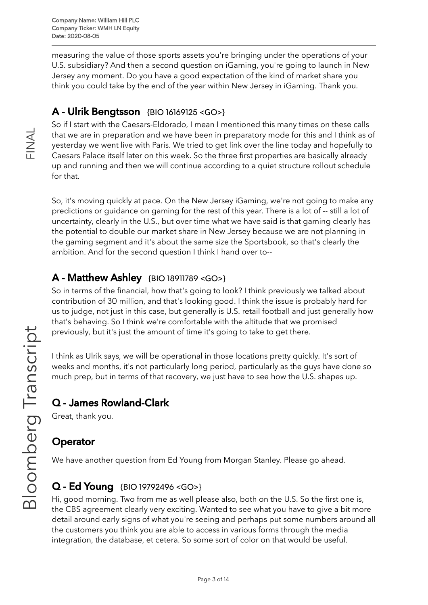measuring the value of those sports assets you're bringing under the operations of your U.S. subsidiary? And then a second question on iGaming, you're going to launch in New Jersey any moment. Do you have a good expectation of the kind of market share you think you could take by the end of the year within New Jersey in iGaming. Thank you.

# A - Ulrik Bengtsson {BIO [16169125](https://blinks.bloomberg.com/screens/BIO%2016169125) <GO>}

So if I start with the Caesars-Eldorado, I mean I mentioned this many times on these calls that we are in preparation and we have been in preparatory mode for this and I think as of yesterday we went live with Paris. We tried to get link over the line today and hopefully to Caesars Palace itself later on this week. So the three first properties are basically already up and running and then we will continue according to a quiet structure rollout schedule for that.

So, it's moving quickly at pace. On the New Jersey iGaming, we're not going to make any predictions or guidance on gaming for the rest of this year. There is a lot of -- still a lot of uncertainty, clearly in the U.S., but over time what we have said is that gaming clearly has the potential to double our market share in New Jersey because we are not planning in the gaming segment and it's about the same size the Sportsbook, so that's clearly the ambition. And for the second question I think I hand over to--

## A - Matthew Ashley {BIO [18911789](https://blinks.bloomberg.com/screens/BIO%2018911789) <GO>}

So in terms of the financial, how that's going to look? I think previously we talked about contribution of 30 million, and that's looking good. I think the issue is probably hard for us to judge, not just in this case, but generally is U.S. retail football and just generally how that's behaving. So I think we're comfortable with the altitude that we promised previously, but it's just the amount of time it's going to take to get there.

I think as Ulrik says, we will be operational in those locations pretty quickly. It's sort of weeks and months, it's not particularly long period, particularly as the guys have done so much prep, but in terms of that recovery, we just have to see how the U.S. shapes up.

# Q - James Rowland-Clark

Great, thank you.

# **Operator**

We have another question from Ed Young from Morgan Stanley. Please go ahead.

# **Q - Ed Young** {BIO [19792496](https://blinks.bloomberg.com/screens/BIO%2019792496) <GO>}

Hi, good morning. Two from me as well please also, both on the U.S. So the first one is, the CBS agreement clearly very exciting. Wanted to see what you have to give a bit more detail around early signs of what you're seeing and perhaps put some numbers around all the customers you think you are able to access in various forms through the media integration, the database, et cetera. So some sort of color on that would be useful.

 $\frac{\mathsf{Z}}{\mathbb{L}}$  .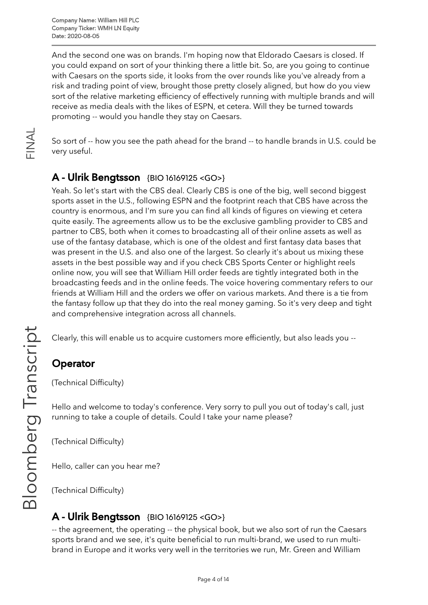Company Name: William Hill PLC Company Ticker: WMH LN Equity Date: 2020-08-05

And the second one was on brands. I'm hoping now that Eldorado Caesars is closed. If you could expand on sort of your thinking there a little bit. So, are you going to continue with Caesars on the sports side, it looks from the over rounds like you've already from a risk and trading point of view, brought those pretty closely aligned, but how do you view sort of the relative marketing efficiency of effectively running with multiple brands and will receive as media deals with the likes of ESPN, et cetera. Will they be turned towards promoting -- would you handle they stay on Caesars.

So sort of -- how you see the path ahead for the brand -- to handle brands in U.S. could be very useful.

#### A - Ulrik Bengtsson {BIO [16169125](https://blinks.bloomberg.com/screens/BIO%2016169125) <GO>}

Yeah. So let's start with the CBS deal. Clearly CBS is one of the big, well second biggest sports asset in the U.S., following ESPN and the footprint reach that CBS have across the country is enormous, and I'm sure you can find all kinds of figures on viewing et cetera quite easily. The agreements allow us to be the exclusive gambling provider to CBS and partner to CBS, both when it comes to broadcasting all of their online assets as well as use of the fantasy database, which is one of the oldest and first fantasy data bases that was present in the U.S. and also one of the largest. So clearly it's about us mixing these assets in the best possible way and if you check CBS Sports Center or highlight reels online now, you will see that William Hill order feeds are tightly integrated both in the broadcasting feeds and in the online feeds. The voice hovering commentary refers to our friends at William Hill and the orders we offer on various markets. And there is a tie from the fantasy follow up that they do into the real money gaming. So it's very deep and tight and comprehensive integration across all channels.

Clearly, this will enable us to acquire customers more efficiently, but also leads you --

# **Operator**

(Technical Difficulty)

Hello and welcome to today's conference. Very sorry to pull you out of today's call, just running to take a couple of details. Could I take your name please?

(Technical Difficulty)

Hello, caller can you hear me?

(Technical Difficulty)

#### A - Ulrik Bengtsson {BIO [16169125](https://blinks.bloomberg.com/screens/BIO%2016169125) <GO>}

-- the agreement, the operating -- the physical book, but we also sort of run the Caesars sports brand and we see, it's quite beneficial to run multi-brand, we used to run multibrand in Europe and it works very well in the territories we run, Mr. Green and William

 $\frac{\mathsf{Z}}{\mathbb{L}}$  .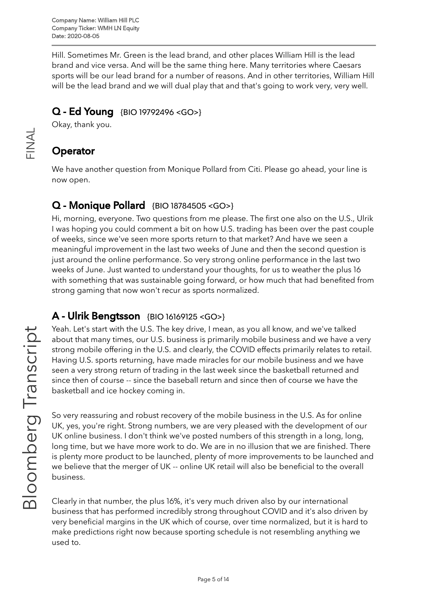Hill. Sometimes Mr. Green is the lead brand, and other places William Hill is the lead brand and vice versa. And will be the same thing here. Many territories where Caesars sports will be our lead brand for a number of reasons. And in other territories, William Hill will be the lead brand and we will dual play that and that's going to work very, very well.

#### Q - Ed Young {BIO [19792496](https://blinks.bloomberg.com/screens/BIO%2019792496) <GO>}

Okay, thank you.

# **Operator**

 $\frac{\mathsf{Z}}{\mathbb{L}}$  .

 $\prec$  $\overline{\phantom{0}}$ 

> We have another question from Monique Pollard from Citi. Please go ahead, your line is now open.

# Q - Monique Pollard {BIO [18784505](https://blinks.bloomberg.com/screens/BIO%2018784505) <GO>}

Hi, morning, everyone. Two questions from me please. The first one also on the U.S., Ulrik I was hoping you could comment a bit on how U.S. trading has been over the past couple of weeks, since we've seen more sports return to that market? And have we seen a meaningful improvement in the last two weeks of June and then the second question is just around the online performance. So very strong online performance in the last two weeks of June. Just wanted to understand your thoughts, for us to weather the plus 16 with something that was sustainable going forward, or how much that had benefited from strong gaming that now won't recur as sports normalized.

#### A - Ulrik Bengtsson {BIO [16169125](https://blinks.bloomberg.com/screens/BIO%2016169125) <GO>}

Yeah. Let's start with the U.S. The key drive, I mean, as you all know, and we've talked about that many times, our U.S. business is primarily mobile business and we have a very strong mobile offering in the U.S. and clearly, the COVID effects primarily relates to retail. Having U.S. sports returning, have made miracles for our mobile business and we have seen a very strong return of trading in the last week since the basketball returned and since then of course -- since the baseball return and since then of course we have the basketball and ice hockey coming in.

So very reassuring and robust recovery of the mobile business in the U.S. As for online UK, yes, you're right. Strong numbers, we are very pleased with the development of our UK online business. I don't think we've posted numbers of this strength in a long, long, long time, but we have more work to do. We are in no illusion that we are finished. There is plenty more product to be launched, plenty of more improvements to be launched and we believe that the merger of UK -- online UK retail will also be beneficial to the overall business.

Clearly in that number, the plus 16%, it's very much driven also by our international business that has performed incredibly strong throughout COVID and it's also driven by very beneficial margins in the UK which of course, over time normalized, but it is hard to make predictions right now because sporting schedule is not resembling anything we used to.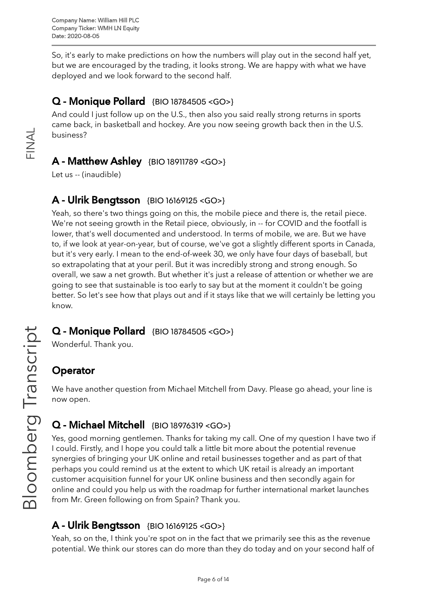So, it's early to make predictions on how the numbers will play out in the second half yet, but we are encouraged by the trading, it looks strong. We are happy with what we have deployed and we look forward to the second half.

# Q - Monique Pollard {BIO [18784505](https://blinks.bloomberg.com/screens/BIO%2018784505) <GO>}

And could I just follow up on the U.S., then also you said really strong returns in sports came back, in basketball and hockey. Are you now seeing growth back then in the U.S. business?

#### A - Matthew Ashley {BIO [18911789](https://blinks.bloomberg.com/screens/BIO%2018911789) <GO>}

Let us -- (inaudible)

 $\frac{\mathsf{Z}}{\mathbb{L}}$  .

 $\prec$  $\overline{\phantom{0}}$ 

#### A - Ulrik Bengtsson {BIO [16169125](https://blinks.bloomberg.com/screens/BIO%2016169125) <GO>}

Yeah, so there's two things going on this, the mobile piece and there is, the retail piece. We're not seeing growth in the Retail piece, obviously, in -- for COVID and the footfall is lower, that's well documented and understood. In terms of mobile, we are. But we have to, if we look at year-on-year, but of course, we've got a slightly different sports in Canada, but it's very early. I mean to the end-of-week 30, we only have four days of baseball, but so extrapolating that at your peril. But it was incredibly strong and strong enough. So overall, we saw a net growth. But whether it's just a release of attention or whether we are going to see that sustainable is too early to say but at the moment it couldn't be going better. So let's see how that plays out and if it stays like that we will certainly be letting you know.

#### Q - Monique Pollard {BIO [18784505](https://blinks.bloomberg.com/screens/BIO%2018784505) <GO>}

Wonderful. Thank you.

#### **Operator**

We have another question from Michael Mitchell from Davy. Please go ahead, your line is now open.

# Q - Michael Mitchell {BIO [18976319](https://blinks.bloomberg.com/screens/BIO%2018976319) <GO>}

Yes, good morning gentlemen. Thanks for taking my call. One of my question I have two if I could. Firstly, and I hope you could talk a little bit more about the potential revenue synergies of bringing your UK online and retail businesses together and as part of that perhaps you could remind us at the extent to which UK retail is already an important customer acquisition funnel for your UK online business and then secondly again for online and could you help us with the roadmap for further international market launches from Mr. Green following on from Spain? Thank you.

#### A - Ulrik Bengtsson {BIO [16169125](https://blinks.bloomberg.com/screens/BIO%2016169125) <GO>}

Yeah, so on the, I think you're spot on in the fact that we primarily see this as the revenue potential. We think our stores can do more than they do today and on your second half of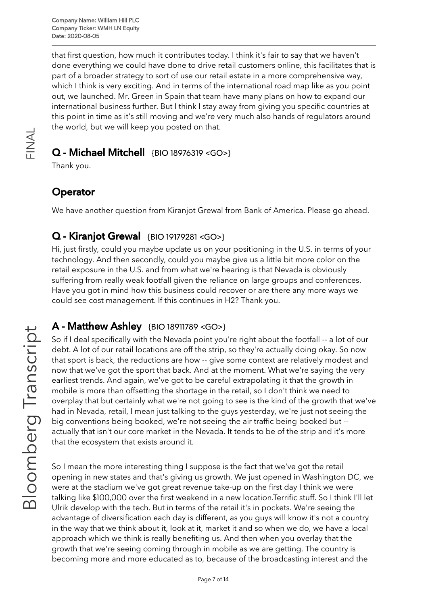that first question, how much it contributes today. I think it's fair to say that we haven't done everything we could have done to drive retail customers online, this facilitates that is part of a broader strategy to sort of use our retail estate in a more comprehensive way, which I think is very exciting. And in terms of the international road map like as you point out, we launched. Mr. Green in Spain that team have many plans on how to expand our international business further. But I think I stay away from giving you specific countries at this point in time as it's still moving and we're very much also hands of regulators around the world, but we will keep you posted on that.

#### Q - Michael Mitchell {BIO [18976319](https://blinks.bloomberg.com/screens/BIO%2018976319) <GO>}

Thank you.

 $\frac{\mathsf{Z}}{\mathbb{L}}$  .

 $\prec$  $\overline{\phantom{0}}$ 

## **Operator**

We have another question from Kiranjot Grewal from Bank of America. Please go ahead.

## Q - Kiranjot Grewal {BIO [19179281](https://blinks.bloomberg.com/screens/BIO%2019179281) <GO>}

Hi, just firstly, could you maybe update us on your positioning in the U.S. in terms of your technology. And then secondly, could you maybe give us a little bit more color on the retail exposure in the U.S. and from what we're hearing is that Nevada is obviously suffering from really weak footfall given the reliance on large groups and conferences. Have you got in mind how this business could recover or are there any more ways we could see cost management. If this continues in H2? Thank you.

#### A - Matthew Ashley {BIO [18911789](https://blinks.bloomberg.com/screens/BIO%2018911789) <GO>}

So if I deal specifically with the Nevada point you're right about the footfall -- a lot of our debt. A lot of our retail locations are off the strip, so they're actually doing okay. So now that sport is back, the reductions are how -- give some context are relatively modest and now that we've got the sport that back. And at the moment. What we're saying the very earliest trends. And again, we've got to be careful extrapolating it that the growth in mobile is more than offsetting the shortage in the retail, so I don't think we need to overplay that but certainly what we're not going to see is the kind of the growth that we've had in Nevada, retail, I mean just talking to the guys yesterday, we're just not seeing the big conventions being booked, we're not seeing the air traffic being booked but - actually that isn't our core market in the Nevada. It tends to be of the strip and it's more that the ecosystem that exists around it.

So I mean the more interesting thing I suppose is the fact that we've got the retail opening in new states and that's giving us growth. We just opened in Washington DC, we were at the stadium we've got great revenue take-up on the first day I think we were talking like \$100,000 over the first weekend in a new location.Terrific stuff. So I think I'll let Ulrik develop with the tech. But in terms of the retail it's in pockets. We're seeing the advantage of diversification each day is different, as you guys will know it's not a country in the way that we think about it, look at it, market it and so when we do, we have a local approach which we think is really benefiting us. And then when you overlay that the growth that we're seeing coming through in mobile as we are getting. The country is becoming more and more educated as to, because of the broadcasting interest and the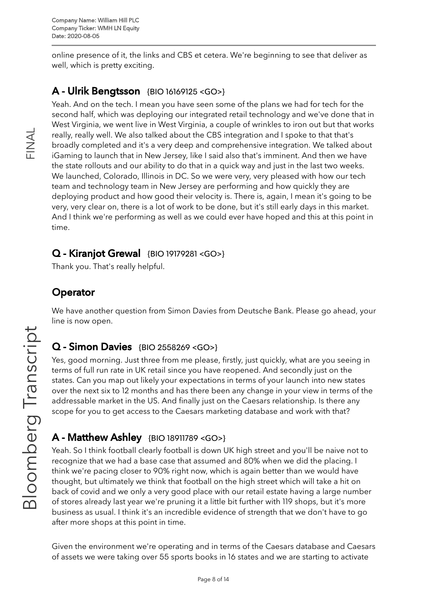online presence of it, the links and CBS et cetera. We're beginning to see that deliver as well, which is pretty exciting.

## A - Ulrik Bengtsson {BIO [16169125](https://blinks.bloomberg.com/screens/BIO%2016169125) <GO>}

Yeah. And on the tech. I mean you have seen some of the plans we had for tech for the second half, which was deploying our integrated retail technology and we've done that in West Virginia, we went live in West Virginia, a couple of wrinkles to iron out but that works really, really well. We also talked about the CBS integration and I spoke to that that's broadly completed and it's a very deep and comprehensive integration. We talked about iGaming to launch that in New Jersey, like I said also that's imminent. And then we have the state rollouts and our ability to do that in a quick way and just in the last two weeks. We launched, Colorado, Illinois in DC. So we were very, very pleased with how our tech team and technology team in New Jersey are performing and how quickly they are deploying product and how good their velocity is. There is, again, I mean it's going to be very, very clear on, there is a lot of work to be done, but it's still early days in this market. And I think we're performing as well as we could ever have hoped and this at this point in time.

#### Q - Kiranjot Grewal {BIO [19179281](https://blinks.bloomberg.com/screens/BIO%2019179281) <GO>}

Thank you. That's really helpful.

## **Operator**

We have another question from Simon Davies from Deutsche Bank. Please go ahead, your line is now open.

#### Q - Simon Davies {BIO [2558269](https://blinks.bloomberg.com/screens/BIO%202558269) <GO>}

Yes, good morning. Just three from me please, firstly, just quickly, what are you seeing in terms of full run rate in UK retail since you have reopened. And secondly just on the states. Can you map out likely your expectations in terms of your launch into new states over the next six to 12 months and has there been any change in your view in terms of the addressable market in the US. And finally just on the Caesars relationship. Is there any scope for you to get access to the Caesars marketing database and work with that?

#### A - Matthew Ashley {BIO [18911789](https://blinks.bloomberg.com/screens/BIO%2018911789) <GO>}

Yeah. So I think football clearly football is down UK high street and you'll be naive not to recognize that we had a base case that assumed and 80% when we did the placing. I think we're pacing closer to 90% right now, which is again better than we would have thought, but ultimately we think that football on the high street which will take a hit on back of covid and we only a very good place with our retail estate having a large number of stores already last year we're pruning it a little bit further with 119 shops, but it's more business as usual. I think it's an incredible evidence of strength that we don't have to go after more shops at this point in time.

Given the environment we're operating and in terms of the Caesars database and Caesars of assets we were taking over 55 sports books in 16 states and we are starting to activate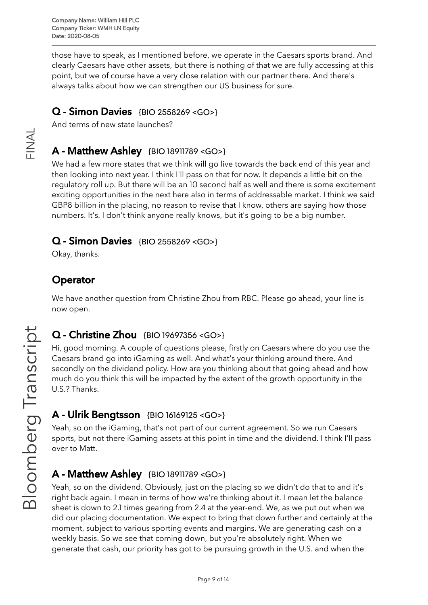those have to speak, as I mentioned before, we operate in the Caesars sports brand. And clearly Caesars have other assets, but there is nothing of that we are fully accessing at this point, but we of course have a very close relation with our partner there. And there's always talks about how we can strengthen our US business for sure.

#### Q - Simon Davies {BIO [2558269](https://blinks.bloomberg.com/screens/BIO%202558269) <GO>}

And terms of new state launches?

## A - Matthew Ashley {BIO [18911789](https://blinks.bloomberg.com/screens/BIO%2018911789) <GO>}

We had a few more states that we think will go live towards the back end of this year and then looking into next year. I think I'll pass on that for now. It depends a little bit on the regulatory roll up. But there will be an 10 second half as well and there is some excitement exciting opportunities in the next here also in terms of addressable market. I think we said GBP8 billion in the placing, no reason to revise that I know, others are saying how those numbers. It's. I don't think anyone really knows, but it's going to be a big number.

#### Q - Simon Davies {BIO [2558269](https://blinks.bloomberg.com/screens/BIO%202558269) <GO>}

Okay, thanks.

# **Operator**

We have another question from Christine Zhou from RBC. Please go ahead, your line is now open.

# Q - Christine Zhou {BIO [19697356](https://blinks.bloomberg.com/screens/BIO%2019697356) <GO>}

Hi, good morning. A couple of questions please, firstly on Caesars where do you use the Caesars brand go into iGaming as well. And what's your thinking around there. And secondly on the dividend policy. How are you thinking about that going ahead and how much do you think this will be impacted by the extent of the growth opportunity in the U.S.? Thanks. rip

# A - Ulrik Bengtsson {BIO [16169125](https://blinks.bloomberg.com/screens/BIO%2016169125) <GO>}

Yeah, so on the iGaming, that's not part of our current agreement. So we run Caesars sports, but not there iGaming assets at this point in time and the dividend. I think I'll pass over to Matt.

# **A - Matthew Ashley** {BIO [18911789](https://blinks.bloomberg.com/screens/BIO%2018911789) <GO>}

Yeah, so on the dividend. Obviously, just on the placing so we didn't do that to and it's right back again. I mean in terms of how we're thinking about it. I mean let the balance sheet is down to 2.1 times gearing from 2.4 at the year-end. We, as we put out when we did our placing documentation. We expect to bring that down further and certainly at the moment, subject to various sporting events and margins. We are generating cash on a weekly basis. So we see that coming down, but you're absolutely right. When we generate that cash, our priority has got to be pursuing growth in the U.S. and when the  $\frac{1}{\sqrt{2}}$ 

 $\overline{\phantom{a}}$ 

oE

 $\overline{\mathcal{O}}$  $\mathbb O$  $\overline{\phantom{0}}$  $\bigcirc$ 

 $\overline{\phantom{a}}$  $\sigma$  $\mathbf{\subseteq}$ ഗ  $\bigcup$ 

 $\frac{\mathsf{Z}}{\mathbb{L}}$  .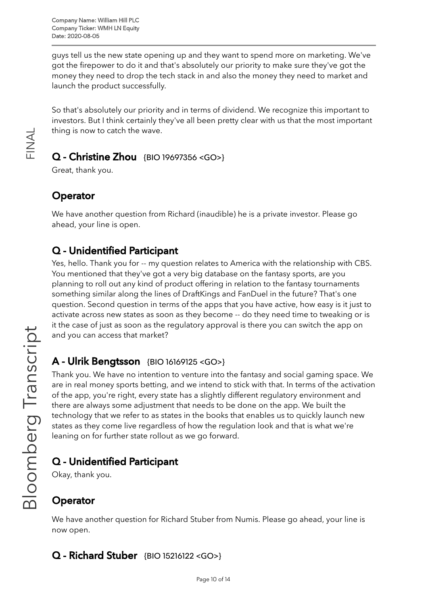guys tell us the new state opening up and they want to spend more on marketing. We've got the firepower to do it and that's absolutely our priority to make sure they've got the money they need to drop the tech stack in and also the money they need to market and launch the product successfully.

So that's absolutely our priority and in terms of dividend. We recognize this important to investors. But I think certainly they've all been pretty clear with us that the most important thing is now to catch the wave.

#### Q - Christine Zhou {BIO [19697356](https://blinks.bloomberg.com/screens/BIO%2019697356) <GO>}

Great, thank you.

# **Operator**

 $\frac{\mathsf{Z}}{\mathbb{L}}$  .

 $\prec$  $\overline{\phantom{0}}$ 

> We have another question from Richard (inaudible) he is a private investor. Please go ahead, your line is open.

## Q - Unidentified Participant

Yes, hello. Thank you for -- my question relates to America with the relationship with CBS. You mentioned that they've got a very big database on the fantasy sports, are you planning to roll out any kind of product offering in relation to the fantasy tournaments something similar along the lines of DraftKings and FanDuel in the future? That's one question. Second question in terms of the apps that you have active, how easy is it just to activate across new states as soon as they become -- do they need time to tweaking or is it the case of just as soon as the regulatory approval is there you can switch the app on and you can access that market?

# A - Ulrik Bengtsson {BIO [16169125](https://blinks.bloomberg.com/screens/BIO%2016169125) <GO>}

Thank you. We have no intention to venture into the fantasy and social gaming space. We are in real money sports betting, and we intend to stick with that. In terms of the activation of the app, you're right, every state has a slightly different regulatory environment and there are always some adjustment that needs to be done on the app. We built the technology that we refer to as states in the books that enables us to quickly launch new states as they come live regardless of how the regulation look and that is what we're leaning on for further state rollout as we go forward.

# Q - Unidentified Participant

Okay, thank you.

# **Operator**

We have another question for Richard Stuber from Numis. Please go ahead, your line is now open.

# Q - Richard Stuber {BIO [15216122](https://blinks.bloomberg.com/screens/BIO%2015216122) <GO>}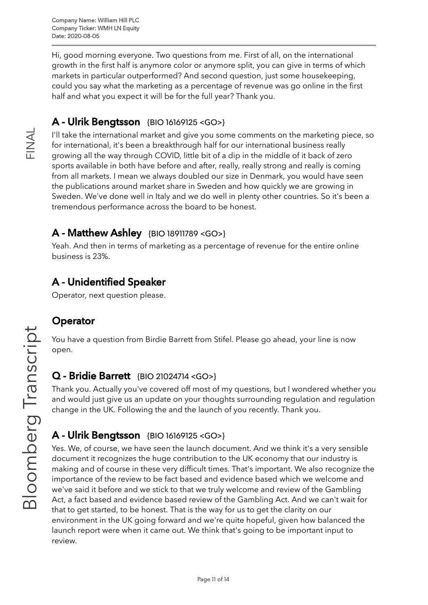Hi, good morning everyone. Two questions from me. First of all, on the international growth in the first half is anymore color or anymore split, you can give in terms of which markets in particular outperformed? And second question, just some housekeeping, could you say what the marketing as a percentage of revenue was go online in the first half and what you expect it will be for the full year? Thank you.

# A - Ulrik Bengtsson {BIO [16169125](https://blinks.bloomberg.com/screens/BIO%2016169125) <GO>}

I'll take the international market and give you some comments on the marketing piece, so for international, it's been a breakthrough half for our international business really growing all the way through COVID, little bit of a dip in the middle of it back of zero sports available in both have before and after, really, really strong and really is coming from all markets. I mean we always doubled our size in Denmark, you would have seen the publications around market share in Sweden and how quickly we are growing in Sweden. We've done well in Italy and we do well in plenty other countries. So it's been a tremendous performance across the board to be honest.

#### A - Matthew Ashley {BIO [18911789](https://blinks.bloomberg.com/screens/BIO%2018911789) <GO>}

Yeah. And then in terms of marketing as a percentage of revenue for the entire online business is 23%.

# A - Unidentified Speaker

Operator, next question please.

#### **Operator**

You have a question from Birdie Barrett from Stifel. Please go ahead, your line is now open.

#### Q - Bridie Barrett {BIO [21024714](https://blinks.bloomberg.com/screens/BIO%2021024714) <GO>}

Thank you. Actually you've covered off most of my questions, but I wondered whether you and would just give us an update on your thoughts surrounding regulation and regulation change in the UK. Following the and the launch of you recently. Thank you.

# A - Ulrik Bengtsson {BIO [16169125](https://blinks.bloomberg.com/screens/BIO%2016169125) <GO>}

Yes. We, of course, we have seen the launch document. And we think it's a very sensible document it recognizes the huge contribution to the UK economy that our industry is making and of course in these very difficult times. That's important. We also recognize the importance of the review to be fact based and evidence based which we welcome and we've said it before and we stick to that we truly welcome and review of the Gambling Act, a fact based and evidence based review of the Gambling Act. And we can't wait for that to get started, to be honest. That is the way for us to get the clarity on our environment in the UK going forward and we're quite hopeful, given how balanced the launch report were when it came out. We think that's going to be important input to review.

 $\frac{\mathsf{Z}}{\mathbb{L}}$  .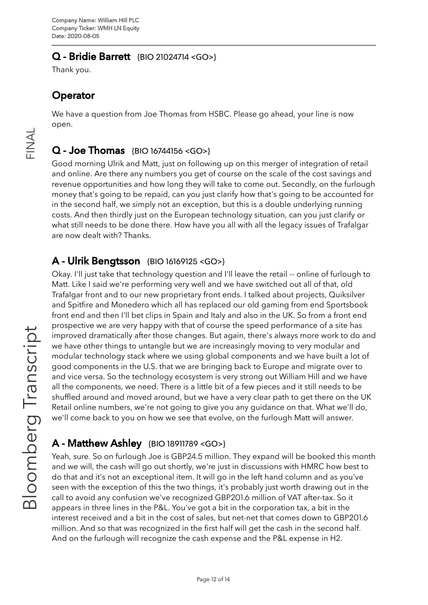#### Q - Bridie Barrett {BIO [21024714](https://blinks.bloomberg.com/screens/BIO%2021024714) <GO>}

Thank you.

# **Operator**

We have a question from Joe Thomas from HSBC. Please go ahead, your line is now open.

# $Q - Joe Thomas$  {BIO [16744156](https://blinks.bloomberg.com/screens/BIO%2016744156) <GO>}

Good morning Ulrik and Matt, just on following up on this merger of integration of retail and online. Are there any numbers you get of course on the scale of the cost savings and revenue opportunities and how long they will take to come out. Secondly, on the furlough money that's going to be repaid, can you just clarify how that's going to be accounted for in the second half, we simply not an exception, but this is a double underlying running costs. And then thirdly just on the European technology situation, can you just clarify or what still needs to be done there. How have you all with all the legacy issues of Trafalgar are now dealt with? Thanks.

## A - Ulrik Bengtsson {BIO [16169125](https://blinks.bloomberg.com/screens/BIO%2016169125) <GO>}

Okay. I'll just take that technology question and I'll leave the retail -- online of furlough to Matt. Like I said we're performing very well and we have switched out all of that, old Trafalgar front and to our new proprietary front ends. I talked about projects, Quiksilver and Spitfire and Monedero which all has replaced our old gaming from end Sportsbook front end and then I'll bet clips in Spain and Italy and also in the UK. So from a front end prospective we are very happy with that of course the speed performance of a site has improved dramatically after those changes. But again, there's always more work to do and we have other things to untangle but we are increasingly moving to very modular and modular technology stack where we using global components and we have built a lot of good components in the U.S. that we are bringing back to Europe and migrate over to and vice versa. So the technology ecosystem is very strong out William Hill and we have all the components, we need. There is a little bit of a few pieces and it still needs to be shuffled around and moved around, but we have a very clear path to get there on the UK Retail online numbers, we're not going to give you any guidance on that. What we'll do, we'll come back to you on how we see that evolve, on the furlough Matt will answer.

### **A** - Matthew Ashley {BIO [18911789](https://blinks.bloomberg.com/screens/BIO%2018911789) <GO>}

Yeah, sure. So on furlough Joe is GBP24.5 million. They expand will be booked this month and we will, the cash will go out shortly, we're just in discussions with HMRC how best to do that and it's not an exceptional item. It will go in the left hand column and as you've seen with the exception of this the two things, it's probably just worth drawing out in the call to avoid any confusion we've recognized GBP201.6 million of VAT after-tax. So it appears in three lines in the P&L. You've got a bit in the corporation tax, a bit in the interest received and a bit in the cost of sales, but net-net that comes down to GBP201.6 million. And so that was recognized in the first half will get the cash in the second half. And on the furlough will recognize the cash expense and the P&L expense in H2.

 $\overline{\phantom{a}}$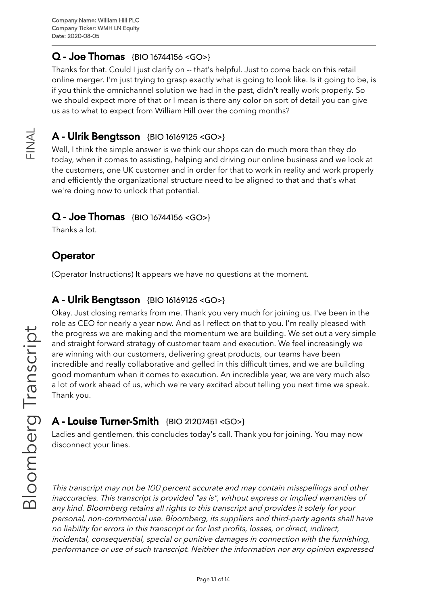## Q - Joe Thomas {BIO [16744156](https://blinks.bloomberg.com/screens/BIO%2016744156) <GO>}

Thanks for that. Could I just clarify on -- that's helpful. Just to come back on this retail online merger. I'm just trying to grasp exactly what is going to look like. Is it going to be, is if you think the omnichannel solution we had in the past, didn't really work properly. So we should expect more of that or I mean is there any color on sort of detail you can give us as to what to expect from William Hill over the coming months?

### A - Ulrik Bengtsson {BIO [16169125](https://blinks.bloomberg.com/screens/BIO%2016169125) <GO>}

Well, I think the simple answer is we think our shops can do much more than they do today, when it comes to assisting, helping and driving our online business and we look at the customers, one UK customer and in order for that to work in reality and work properly and efficiently the organizational structure need to be aligned to that and that's what we're doing now to unlock that potential.

#### $Q - Joe Thomas$  {BIO [16744156](https://blinks.bloomberg.com/screens/BIO%2016744156) <GO>}

Thanks a lot.

 $\frac{\mathsf{Z}}{\mathbb{L}}$  .

 $\prec$  $\overline{\phantom{0}}$ 

## **Operator**

(Operator Instructions) It appears we have no questions at the moment.

#### A - Ulrik Bengtsson {BIO [16169125](https://blinks.bloomberg.com/screens/BIO%2016169125) <GO>}

Okay. Just closing remarks from me. Thank you very much for joining us. I've been in the role as CEO for nearly a year now. And as I reflect on that to you. I'm really pleased with the progress we are making and the momentum we are building. We set out a very simple and straight forward strategy of customer team and execution. We feel increasingly we are winning with our customers, delivering great products, our teams have been incredible and really collaborative and gelled in this difficult times, and we are building good momentum when it comes to execution. An incredible year, we are very much also a lot of work ahead of us, which we're very excited about telling you next time we speak. Thank you.

#### A - Louise Turner-Smith {BIO [21207451](https://blinks.bloomberg.com/screens/BIO%2021207451) <GO>}

Ladies and gentlemen, this concludes today's call. Thank you for joining. You may now disconnect your lines.

This transcript may not be 100 percent accurate and may contain misspellings and other inaccuracies. This transcript is provided "as is", without express or implied warranties of any kind. Bloomberg retains all rights to this transcript and provides it solely for your personal, non-commercial use. Bloomberg, its suppliers and third-party agents shall have no liability for errors in this transcript or for lost profits, losses, or direct, indirect, incidental, consequential, special or punitive damages in connection with the furnishing, performance or use of such transcript. Neither the information nor any opinion expressed